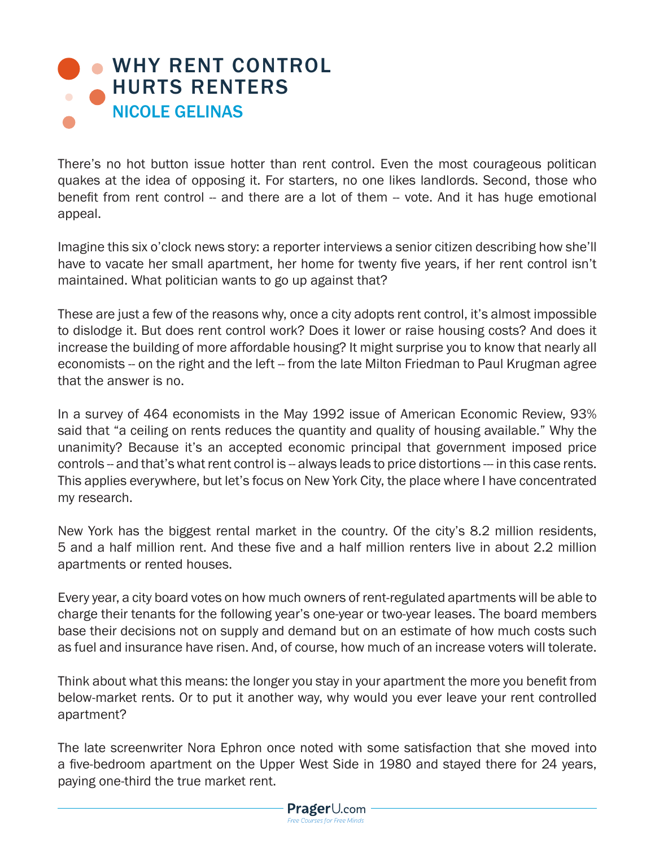## **• WHY RENT CONTROL** HURTS RENTERS NICOLE GELINAS

There's no hot button issue hotter than rent control. Even the most courageous politican quakes at the idea of opposing it. For starters, no one likes landlords. Second, those who benefit from rent control -- and there are a lot of them -- vote. And it has huge emotional appeal.

Imagine this six o'clock news story: a reporter interviews a senior citizen describing how she'll have to vacate her small apartment, her home for twenty five years, if her rent control isn't maintained. What politician wants to go up against that?

These are just a few of the reasons why, once a city adopts rent control, it's almost impossible to dislodge it. But does rent control work? Does it lower or raise housing costs? And does it increase the building of more affordable housing? It might surprise you to know that nearly all economists -- on the right and the left -- from the late Milton Friedman to Paul Krugman agree that the answer is no.

In a survey of 464 economists in the May 1992 issue of American Economic Review, 93% said that "a ceiling on rents reduces the quantity and quality of housing available." Why the unanimity? Because it's an accepted economic principal that government imposed price controls -- and that's what rent control is -- always leads to price distortions --- in this case rents. This applies everywhere, but let's focus on New York City, the place where I have concentrated my research.

New York has the biggest rental market in the country. Of the city's 8.2 million residents, 5 and a half million rent. And these five and a half million renters live in about 2.2 million apartments or rented houses.

Every year, a city board votes on how much owners of rent-regulated apartments will be able to charge their tenants for the following year's one-year or two-year leases. The board members base their decisions not on supply and demand but on an estimate of how much costs such as fuel and insurance have risen. And, of course, how much of an increase voters will tolerate.

Think about what this means: the longer you stay in your apartment the more you benefit from below-market rents. Or to put it another way, why would you ever leave your rent controlled apartment?

The late screenwriter Nora Ephron once noted with some satisfaction that she moved into a five-bedroom apartment on the Upper West Side in 1980 and stayed there for 24 years, paying one-third the true market rent.